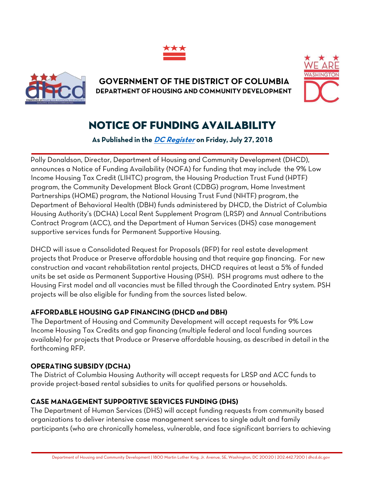



**GOVERNMENT OF THE DISTRICT OF COLUMBIA DEPARTMENT OF HOUSING AND COMMUNITY DEVELOPMENT** 



## NOTICE OF FUNDING AVAILABILITY

**As Published in the [DC Register](https://www.dcregs.dc.gov/Common/NoticeDetail.aspx?NoticeId=N0071589) on Friday, July 27, 2018**

Polly Donaldson, Director, Department of Housing and Community Development (DHCD), announces a Notice of Funding Availability (NOFA) for funding that may include the 9% Low Income Housing Tax Credit (LIHTC) program, the Housing Production Trust Fund (HPTF) program, the Community Development Block Grant (CDBG) program, Home Investment Partnerships (HOME) program, the National Housing Trust Fund (NHTF) program, the Department of Behavioral Health (DBH) funds administered by DHCD, the District of Columbia Housing Authority's (DCHA) Local Rent Supplement Program (LRSP) and Annual Contributions Contract Program (ACC), and the Department of Human Services (DHS) case management supportive services funds for Permanent Supportive Housing.

DHCD will issue a Consolidated Request for Proposals (RFP) for real estate development projects that Produce or Preserve affordable housing and that require gap financing. For new construction and vacant rehabilitation rental projects, DHCD requires at least a 5% of funded units be set aside as Permanent Supportive Housing (PSH). PSH programs must adhere to the Housing First model and all vacancies must be filled through the Coordinated Entry system. PSH projects will be also eligible for funding from the sources listed below.

## **AFFORDABLE HOUSING GAP FINANCING (DHCD and DBH)**

The Department of Housing and Community Development will accept requests for 9% Low Income Housing Tax Credits and gap financing (multiple federal and local funding sources available) for projects that Produce or Preserve affordable housing, as described in detail in the forthcoming RFP.

## **OPERATING SUBSIDY (DCHA)**

The District of Columbia Housing Authority will accept requests for LRSP and ACC funds to provide project-based rental subsidies to units for qualified persons or households.

## **CASE MANAGEMENT SUPPORTIVE SERVICES FUNDING (DHS)**

The Department of Human Services (DHS) will accept funding requests from community based organizations to deliver intensive case management services to single adult and family participants (who are chronically homeless, vulnerable, and face significant barriers to achieving